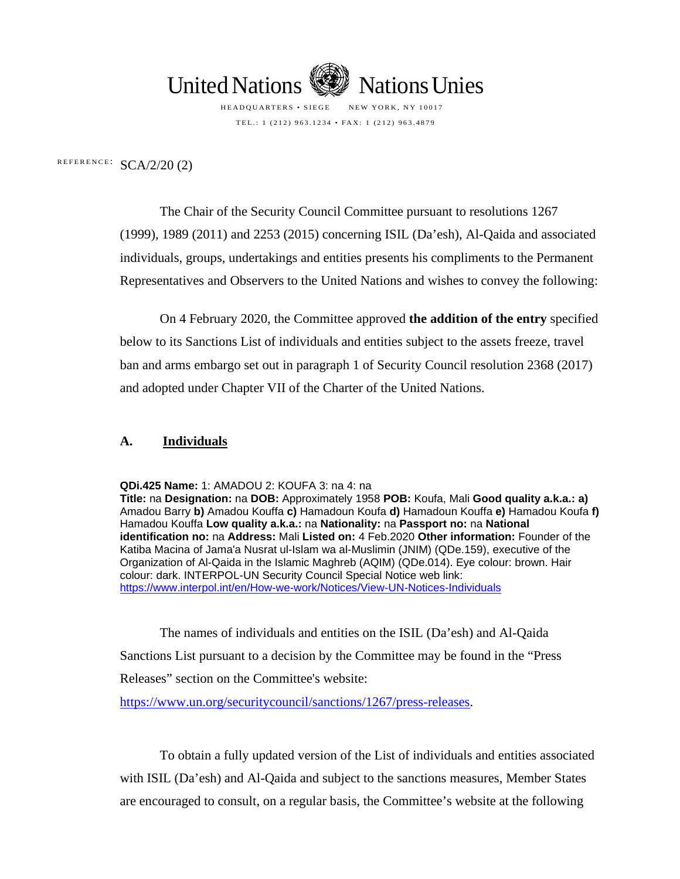

HEADQUARTERS • SIEGE NEW YORK, NY 10017 TEL.: 1 (212) 963.1234 • FAX: 1 (212) 963.4879

REFERENCE:  $SCA/2/20$  (2)

The Chair of the Security Council Committee pursuant to resolutions 1267 (1999), 1989 (2011) and 2253 (2015) concerning ISIL (Da'esh), Al-Qaida and associated individuals, groups, undertakings and entities presents his compliments to the Permanent Representatives and Observers to the United Nations and wishes to convey the following:

On 4 February 2020, the Committee approved **the addition of the entry** specified below to its Sanctions List of individuals and entities subject to the assets freeze, travel ban and arms embargo set out in paragraph 1 of Security Council resolution 2368 (2017) and adopted under Chapter VII of the Charter of the United Nations.

#### **A. Individuals**

**QDi.425 Name:** 1: AMADOU 2: KOUFA 3: na 4: na

**Title:** na **Designation:** na **DOB:** Approximately 1958 **POB:** Koufa, Mali **Good quality a.k.a.: a)**  Amadou Barry **b)** Amadou Kouffa **c)** Hamadoun Koufa **d)** Hamadoun Kouffa **e)** Hamadou Koufa **f)**  Hamadou Kouffa **Low quality a.k.a.:** na **Nationality:** na **Passport no:** na **National identification no:** na **Address:** Mali **Listed on:** 4 Feb.2020 **Other information:** Founder of the Katiba Macina of Jama'a Nusrat ul-Islam wa al-Muslimin (JNIM) (QDe.159), executive of the Organization of Al-Qaida in the Islamic Maghreb (AQIM) (QDe.014). Eye colour: brown. Hair colour: dark. INTERPOL-UN Security Council Special Notice web link: <https://www.interpol.int/en/How-we-work/Notices/View-UN-Notices-Individuals>

The names of individuals and entities on the ISIL (Da'esh) and Al-Qaida Sanctions List pursuant to a decision by the Committee may be found in the "Press Releases" section on the Committee's website:

https://www.un.org/securitycouncil/sanctions/1267/press-releases.

To obtain a fully updated version of the List of individuals and entities associated with ISIL (Da'esh) and Al-Qaida and subject to the sanctions measures, Member States are encouraged to consult, on a regular basis, the Committee's website at the following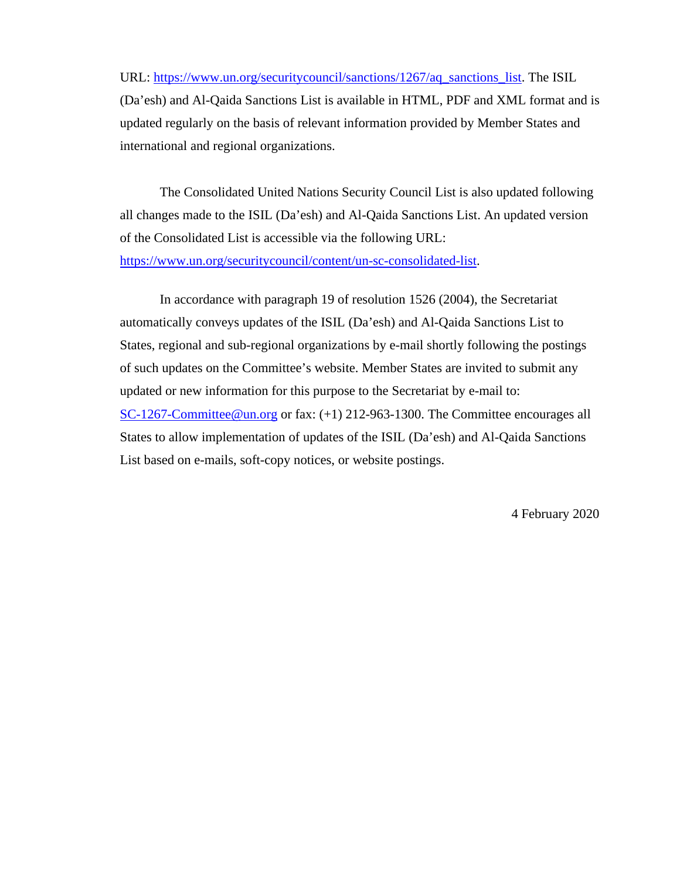URL: [https://www.un.org/securitycouncil/sanctions/1267/aq\\_sanctions\\_list.](https://www.un.org/securitycouncil/sanctions/1267/aq_sanctions_list) The ISIL (Da'esh) and Al-Qaida Sanctions List is available in HTML, PDF and XML format and is updated regularly on the basis of relevant information provided by Member States and international and regional organizations.

The Consolidated United Nations Security Council List is also updated following all changes made to the ISIL (Da'esh) and Al-Qaida Sanctions List. An updated version of the Consolidated List is accessible via the following URL: [https://www.un.org/securitycouncil/content/un-sc-consolidated-list.](https://www.un.org/securitycouncil/content/un-sc-consolidated-list)

In accordance with paragraph 19 of resolution 1526 (2004), the Secretariat automatically conveys updates of the ISIL (Da'esh) and Al-Qaida Sanctions List to States, regional and sub-regional organizations by e-mail shortly following the postings of such updates on the Committee's website. Member States are invited to submit any updated or new information for this purpose to the Secretariat by e-mail to: [SC-1267-Committee@un.org](mailto:SC-1267-Committee@un.org) or fax: (+1) 212-963-1300. The Committee encourages all States to allow implementation of updates of the ISIL (Da'esh) and Al-Qaida Sanctions List based on e-mails, soft-copy notices, or website postings.

4 February 2020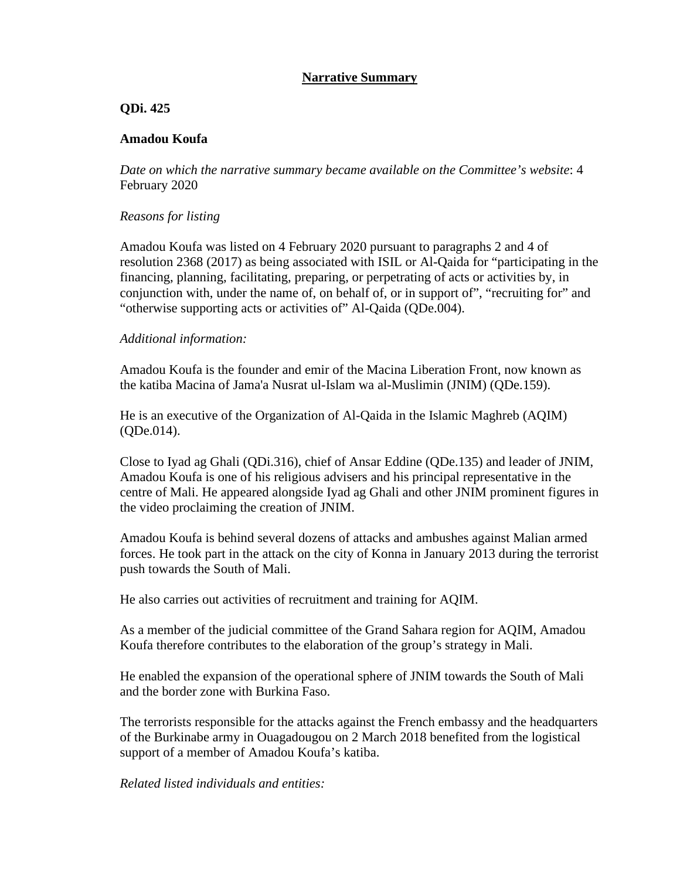# **Narrative Summary**

## **QDi. 425**

## **Amadou Koufa**

*Date on which the narrative summary became available on the Committee's website*: 4 February 2020

## *Reasons for listing*

Amadou Koufa was listed on 4 February 2020 pursuant to paragraphs 2 and 4 of resolution 2368 (2017) as being associated with ISIL or Al-Qaida for "participating in the financing, planning, facilitating, preparing, or perpetrating of acts or activities by, in conjunction with, under the name of, on behalf of, or in support of", "recruiting for" and "otherwise supporting acts or activities of" Al-Qaida (QDe.004).

#### *Additional information:*

Amadou Koufa is the founder and emir of the Macina Liberation Front, now known as the katiba Macina of Jama'a Nusrat ul-Islam wa al-Muslimin (JNIM) (QDe.159).

He is an executive of the Organization of Al-Qaida in the Islamic Maghreb (AQIM) (QDe.014).

Close to Iyad ag Ghali (QDi.316), chief of Ansar Eddine (QDe.135) and leader of JNIM, Amadou Koufa is one of his religious advisers and his principal representative in the centre of Mali. He appeared alongside Iyad ag Ghali and other JNIM prominent figures in the video proclaiming the creation of JNIM.

Amadou Koufa is behind several dozens of attacks and ambushes against Malian armed forces. He took part in the attack on the city of Konna in January 2013 during the terrorist push towards the South of Mali.

He also carries out activities of recruitment and training for AQIM.

As a member of the judicial committee of the Grand Sahara region for AQIM, Amadou Koufa therefore contributes to the elaboration of the group's strategy in Mali.

He enabled the expansion of the operational sphere of JNIM towards the South of Mali and the border zone with Burkina Faso.

The terrorists responsible for the attacks against the French embassy and the headquarters of the Burkinabe army in Ouagadougou on 2 March 2018 benefited from the logistical support of a member of Amadou Koufa's katiba.

## *Related listed individuals and entities:*